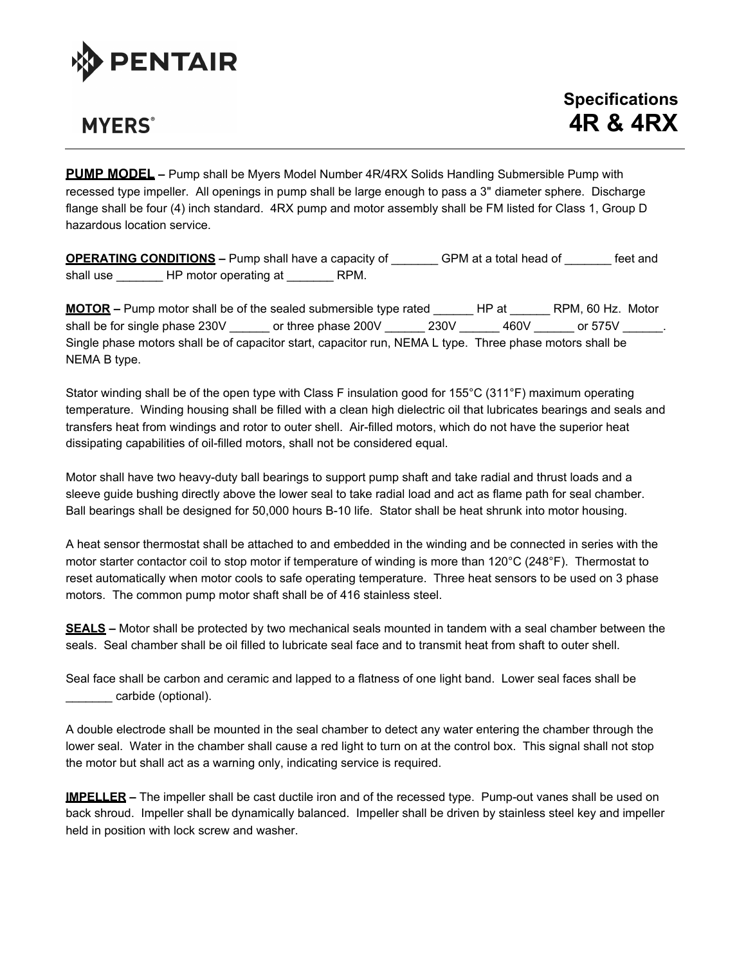

## **MYERS**<sup>®</sup>

**PUMP MODEL –** Pump shall be Myers Model Number 4R/4RX Solids Handling Submersible Pump with recessed type impeller. All openings in pump shall be large enough to pass a 3" diameter sphere. Discharge flange shall be four (4) inch standard. 4RX pump and motor assembly shall be FM listed for Class 1, Group D hazardous location service.

**OPERATING CONDITIONS –** Pump shall have a capacity of \_\_\_\_\_\_\_ GPM at a total head of \_\_\_\_\_\_\_ feet and shall use **HP** motor operating at **RPM.** 

**MOTOR –** Pump motor shall be of the sealed submersible type rated \_\_\_\_\_\_ HP at \_\_\_\_\_\_ RPM, 60 Hz. Motor shall be for single phase 230V cor three phase 200V 230V 460V cor 575V ... Single phase motors shall be of capacitor start, capacitor run, NEMA L type. Three phase motors shall be NEMA B type.

Stator winding shall be of the open type with Class F insulation good for 155°C (311°F) maximum operating temperature. Winding housing shall be filled with a clean high dielectric oil that lubricates bearings and seals and transfers heat from windings and rotor to outer shell. Air-filled motors, which do not have the superior heat dissipating capabilities of oil-filled motors, shall not be considered equal.

Motor shall have two heavy-duty ball bearings to support pump shaft and take radial and thrust loads and a sleeve guide bushing directly above the lower seal to take radial load and act as flame path for seal chamber. Ball bearings shall be designed for 50,000 hours B-10 life. Stator shall be heat shrunk into motor housing.

A heat sensor thermostat shall be attached to and embedded in the winding and be connected in series with the motor starter contactor coil to stop motor if temperature of winding is more than 120°C (248°F). Thermostat to reset automatically when motor cools to safe operating temperature. Three heat sensors to be used on 3 phase motors. The common pump motor shaft shall be of 416 stainless steel.

**SEALS –** Motor shall be protected by two mechanical seals mounted in tandem with a seal chamber between the seals. Seal chamber shall be oil filled to lubricate seal face and to transmit heat from shaft to outer shell.

Seal face shall be carbon and ceramic and lapped to a flatness of one light band. Lower seal faces shall be \_\_\_\_\_\_\_ carbide (optional).

A double electrode shall be mounted in the seal chamber to detect any water entering the chamber through the lower seal. Water in the chamber shall cause a red light to turn on at the control box. This signal shall not stop the motor but shall act as a warning only, indicating service is required.

**IMPELLER –** The impeller shall be cast ductile iron and of the recessed type. Pump-out vanes shall be used on back shroud. Impeller shall be dynamically balanced. Impeller shall be driven by stainless steel key and impeller held in position with lock screw and washer.